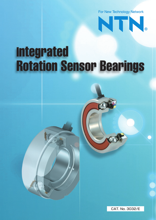For New Technology Network



# **Integrated Rotation Sensor Bearings**

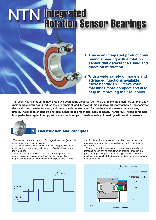# **NTN Integrated<br>Rotation Sensor Bearings**



- **1. This is an integrated product com bining a bearing with a rotation sensor that detects the speed and direction of rotation.**
- **2. With a wide variety of models and advanced functions available, these bearings will make your machines more compact and also help in improving their reliability.**

 **In recent years, industrial machines have been using electrical controls that make the machines simpler, allow unmanned operation, and reduce the environment load. In view of this background, many sensors necessary for electrical control are being used, and there is an increased need for bearings with sensors because they simplify installation of sensors and help in making the machines more compact. Therefore, NTN has combined its superior bearing technology and sensor technology to create a series of bearings with rotation sensors.**



### **1 Construction and Principles**

 The rotation sensor is made up of a magnetic encoder (a multiple pole magnet) and a magnetic sensor.

 The magnetic encoder is fixed to the inner ring (the rotating ring) of the bearing and the magnetic sensor is fixed to the outer ring (the fixed ring).

 With the rotation of the shaft (and the inner ring), when the magnetic encoder passes near the magnetic sensor, the magnetic sensor senses changes in the magnetic pole (N pole



and S pole) of the magnetic encoder that is opposite to it and outputs a corresponding electrical signal (with a rectangular waveform).

 Through numerical processing of these output signals, the rotational speed can be calculated. In addition, because the phase A output and phase B output signals have a mutual electrical phase shift of 90 degrees, the direction of rotation can also be detected.

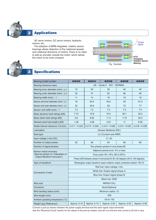

# **2 Applications**

 AC servo motors, DC servo motors, hydraulic motors, etc.

 The adoption of **NTN** integrated rotation sensor bearings allows detection of the rotational speeds and rotational directions of motors. There is no need to add an encoder outside the motor, which allows the motor to be more compact.





# **3 Specifications**

| Bearing model number                                                                         | 6202                                                                                   | 6204            | 6206            | 6208            | 6209            |
|----------------------------------------------------------------------------------------------|----------------------------------------------------------------------------------------|-----------------|-----------------|-----------------|-----------------|
| Bearing tolerance class                                                                      | JIS: Grade 0 ISO: NORMAL                                                               |                 |                 |                 |                 |
| Bearing inner diameter (mm) $\div \phi A$                                                    | 15                                                                                     | 20              | 30              | 40              | 45              |
| Bearing outer diameter (mm) : $\oint B$                                                      | 35                                                                                     | 47              | 62              | 80              | 85              |
| Bearing width (mm): $: C$                                                                    | 11                                                                                     | 14              | 16              | 18              | 19              |
| Sensor unit inner diameter (mm) $\phi D$                                                     | 18                                                                                     | 29.5            | 40.6            | 53              | 57.3            |
| Sensor unit outer diameter (mm) $\phi E$                                                     | 32                                                                                     | 46.6            | 58              | 75              | 77              |
| Sensor unit width (mm) : $F$                                                                 | 7.5                                                                                    | 7.5             | 7.5             | 7.5             | 7.5             |
| Basic dynamic load ratings (kN)                                                              | 7.75                                                                                   | 12.8            | 19.5            | 29.1            | 32.5            |
| Basic static load ratings (kN)                                                               | 3.6                                                                                    | 6.65            | 11.3            | 17.8            | 20.4            |
| Allowed axial load (static) (kN)                                                             | 1.48                                                                                   | 3.08            | 5.81            | 11              | 9.59            |
| Radial internal clearance: C3 (mm)                                                           | $0.011 - 0.025$                                                                        | $0.013 - 0.028$ | $0.013 - 0.028$ | $0.015 - 0.033$ | $0.018 - 0.036$ |
| Lubrication                                                                                  | Grease (Multemp SRL)                                                                   |                 |                 |                 |                 |
| Seal type                                                                                    | LU (Contact seal NBR)                                                                  |                 |                 |                 |                 |
| Input voltage (+Vcc DC)                                                                      | $5 - 24$                                                                               |                 |                 |                 |                 |
| Number of output pulses                                                                      | 32                                                                                     | 48              | 64              | 80              | 80              |
| Number of signal phases                                                                      | Two phases (phase A and phase B)                                                       |                 |                 |                 |                 |
| Sensor output accuracy<br>(See the section on "Calculation of<br>Output Waveform Accuracy.") | Adjacent period error: 5% or less                                                      |                 |                 |                 |                 |
|                                                                                              | Duty cycle: $50 \pm 15\%$ (35 to 65%)                                                  |                 |                 |                 |                 |
|                                                                                              | Phase shift between phase A and phase B: $90 \pm 45$ degrees (45 to 135 degrees)       |                 |                 |                 |                 |
| Type of waveform                                                                             | Rectangular output waveform (open collector output, protective resistor 100 $\Omega$ ) |                 |                 |                 |                 |
| Connection of wire                                                                           | Red line: Input voltage +Vcc                                                           |                 |                 |                 |                 |
|                                                                                              | White line: Output signal phase A                                                      |                 |                 |                 |                 |
|                                                                                              | Blue line: Output signal phase B                                                       |                 |                 |                 |                 |
|                                                                                              | <b>Black line: GND</b>                                                                 |                 |                 |                 |                 |
| Wire size                                                                                    | AWG24 (UL)                                                                             |                 |                 |                 |                 |
| Connector                                                                                    | None/Optional                                                                          |                 |                 |                 |                 |
| Wire bending radius (mm)                                                                     | Minimum radius: 12                                                                     |                 |                 |                 |                 |
| Wire length (mm)                                                                             | 500                                                                                    |                 |                 |                 |                 |
| Ambient operating temperature (°C)                                                           | $-25$ to 120                                                                           |                 |                 |                 |                 |
| Weight (kg) (Reference)                                                                      | Approx. 0.10                                                                           | Approx. 0.13    | Approx. 0.25    | Approx. 0.45    | Approx. 0.48    |

Connect a pull-up resistor between the power supply terminal and the each signal output terminals. See the "Electrical Circuit" section for the values of the pull-up resistor, and set it so that the sink current is 20 mA or less.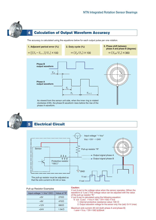

# **4 Calculation of Output Waveform Accuracy**

The accuracy is calculated using the equations below for each output pulse per one rotation.





## **5 Electrical Circuit**



#### Pull-up Resistor Examples

| Input voltage " $+$ Vcc" (DC) | Value of "R"      |  |
|-------------------------------|-------------------|--|
| $+5V$                         | $270\Omega$       |  |
| $+9V$                         | $470\Omega$       |  |
| $+12V$                        | $680\Omega$       |  |
| $+24V$                        | 1.5k <sub>Ω</sub> |  |

#### **Caution:**

V out (Low) is the voltage value when the sensor operates. (When the waveform is "Low.") This voltage value can be adjusted with the value of the pull-up resistor "R."

- V out (Low) is calculated using the following equation:
- V out (Low)  $=$  Vcc $\times$ 100 $\diagup$  (R+100) + Vce
- 1. Internal protective resistance value: 100  $\Omega$ 
	- 2. Output saturation voltage for the sensor only. Vce (sat): 0.4 V (max)
- Maximum sink current: 20 mA (both phase A and phase B) I sink= $Vcc/(R+100)$  ≤20mA